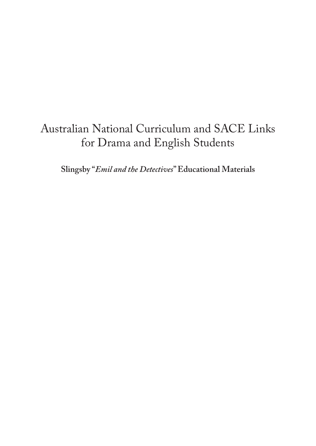# Australian National Curriculum and SACE Links for Drama and English Students

**Slingsby "***Emil and the Detectives***" Educational Materials**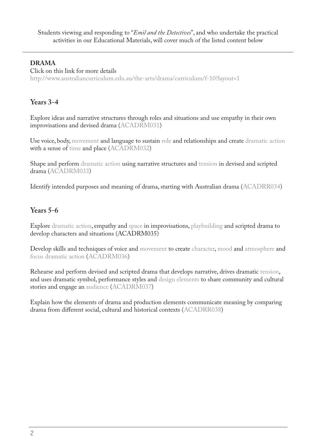#### **DRAMA**

Click on this link for more details <http://www.australiancurriculum.edu.au/the-arts/drama/curriculum/f-10?layout=1>

#### **Years 3-4**

Explore ideas and narrative structures through roles and situations and use empathy in their own improvisations and devised drama ([ACADRM031\)](http://www.australiancurriculum.edu.au/curriculum/contentdescription/ACADRM031)

Use voice, body, [movement](http://www.australiancurriculum.edu.au/glossary/popup?a=TheArts&t=movement) and language to sustain [role](http://www.australiancurriculum.edu.au/glossary/popup?a=TheArts&t=role) and relationships and create [dramatic action](http://www.australiancurriculum.edu.au/glossary/popup?a=TheArts&t=dramatic+action) with a sense of [time](http://www.australiancurriculum.edu.au/glossary/popup?a=TheArts&t=time) and place ([ACADRM032](http://www.australiancurriculum.edu.au/curriculum/contentdescription/ACADRM032))

Shape and perform [dramatic action](http://www.australiancurriculum.edu.au/glossary/popup?a=TheArts&t=dramatic+action) using narrative structures and [tension](http://www.australiancurriculum.edu.au/glossary/popup?a=TheArts&t=tension) in devised and scripted drama [\(ACADRM033\)](http://www.australiancurriculum.edu.au/curriculum/contentdescription/ACADRM033)

Identify intended purposes and meaning of drama, starting with Australian drama ([ACADRR034\)](http://www.australiancurriculum.edu.au/curriculum/contentdescription/ACADRR034)

#### **Years 5-6**

Explore [dramatic action](http://www.australiancurriculum.edu.au/glossary/popup?a=TheArts&t=dramatic+action), empathy and [space](http://www.australiancurriculum.edu.au/glossary/popup?a=TheArts&t=space) in improvisations, [playbuilding](http://www.australiancurriculum.edu.au/glossary/popup?a=TheArts&t=playbuilding) and scripted drama to develop characters and situations ([ACADRM035](http://www.australiancurriculum.edu.au/curriculum/contentdescription/ACADRM035))

Develop skills and techniques of voice and [movement](http://www.australiancurriculum.edu.au/glossary/popup?a=TheArts&t=movement) to create [character](http://www.australiancurriculum.edu.au/glossary/popup?a=TheArts&t=character), [mood](http://www.australiancurriculum.edu.au/glossary/popup?a=TheArts&t=mood+and+atmosphere) and [atmosphere](http://www.australiancurriculum.edu.au/glossary/popup?a=TheArts&t=mood+and+atmosphere) and [focus dramatic action](http://www.australiancurriculum.edu.au/glossary/popup?a=TheArts&t=dramatic+action) [\(ACADRM036](http://www.australiancurriculum.edu.au/curriculum/contentdescription/ACADRM036))

Rehearse and perform devised and scripted drama that develops narrative, drives dramatic [tension,](http://www.australiancurriculum.edu.au/glossary/popup?a=TheArts&t=tension) and uses dramatic symbol, performance styles and [design elements](http://www.australiancurriculum.edu.au/glossary/popup?a=TheArts&t=design+elements) to share community and cultural stories and engage an [audience](http://www.australiancurriculum.edu.au/glossary/popup?a=TheArts&t=audience) ([ACADRM037](http://www.australiancurriculum.edu.au/curriculum/contentdescription/ACADRM037))

Explain how the elements of drama and production elements communicate meaning by comparing drama from different social, cultural and historical contexts [\(ACADRR038\)](http://www.australiancurriculum.edu.au/curriculum/contentdescription/ACADRR038)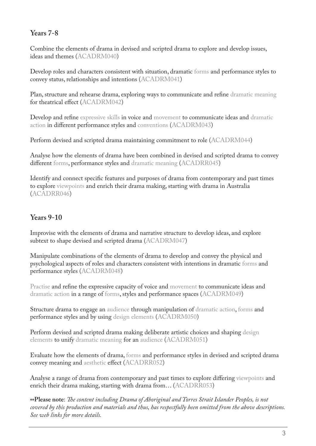### **Years 7-8**

Combine the elements of drama in devised and scripted drama to explore and develop issues, ideas and themes ([ACADRM040\)](http://www.australiancurriculum.edu.au/curriculum/contentdescription/ACADRM040)

Develop roles and characters consistent with situation, dramatic [forms](http://www.australiancurriculum.edu.au/glossary/popup?a=TheArts&t=forms) and performance styles to convey status, relationships and intentions [\(ACADRM041](http://www.australiancurriculum.edu.au/curriculum/contentdescription/ACADRM041))

Plan, structure and rehearse drama, exploring ways to communicate and refine [dramatic meaning](http://www.australiancurriculum.edu.au/glossary/popup?a=TheArts&t=dramatic+meaning) for theatrical effect ([ACADRM042\)](http://www.australiancurriculum.edu.au/curriculum/contentdescription/ACADRM042)

Develop and refine [expressive skills](http://www.australiancurriculum.edu.au/glossary/popup?a=TheArts&t=expressive+skills) in voice and [movement](http://www.australiancurriculum.edu.au/glossary/popup?a=TheArts&t=movement) to communicate ideas and [dramatic](http://www.australiancurriculum.edu.au/glossary/popup?a=TheArts&t=dramatic+action) [action](http://www.australiancurriculum.edu.au/glossary/popup?a=TheArts&t=dramatic+action) in different performance styles and [conventions](http://www.australiancurriculum.edu.au/glossary/popup?a=TheArts&t=conventions) ([ACADRM043\)](http://www.australiancurriculum.edu.au/curriculum/contentdescription/ACADRM043)

Perform devised and scripted drama maintaining commitment to role ([ACADRM044\)](http://www.australiancurriculum.edu.au/curriculum/contentdescription/ACADRM044)

Analyse how the elements of drama have been combined in devised and scripted drama to convey different [forms,](http://www.australiancurriculum.edu.au/glossary/popup?a=TheArts&t=forms) performance styles and [dramatic meaning](http://www.australiancurriculum.edu.au/glossary/popup?a=TheArts&t=dramatic+meaning) [\(ACADRR045\)](http://www.australiancurriculum.edu.au/curriculum/contentdescription/ACADRR045)

Identify and connect specific features and purposes of drama from contemporary and past times to explore [viewpoints](http://www.australiancurriculum.edu.au/glossary/popup?a=TheArts&t=viewpoints) and enrich their drama making, starting with drama in Australia ([ACADRR046\)](http://www.australiancurriculum.edu.au/curriculum/contentdescription/ACADRR046)

# **Years 9-10**

Improvise with the elements of drama and narrative structure to develop ideas, and explore subtext to shape devised and scripted drama ([ACADRM047\)](http://www.australiancurriculum.edu.au/curriculum/contentdescription/ACADRM047)

Manipulate combinations of the elements of drama to develop and convey the physical and psychological aspects of roles and characters consistent with intentions in dramatic [forms](http://www.australiancurriculum.edu.au/glossary/popup?a=TheArts&t=forms) and performance styles [\(ACADRM048](http://www.australiancurriculum.edu.au/curriculum/contentdescription/ACADRM048))

[Practise](http://www.australiancurriculum.edu.au/glossary/popup?a=TheArts&t=practise) and refine the expressive capacity of voice and [movement](http://www.australiancurriculum.edu.au/glossary/popup?a=TheArts&t=movement) to communicate ideas and [dramatic action](http://www.australiancurriculum.edu.au/glossary/popup?a=TheArts&t=dramatic+action) in a range of [forms](http://www.australiancurriculum.edu.au/glossary/popup?a=TheArts&t=forms), styles and performance spaces [\(ACADRM049\)](http://www.australiancurriculum.edu.au/curriculum/contentdescription/ACADRM049)

Structure drama to engage an [audience](http://www.australiancurriculum.edu.au/glossary/popup?a=TheArts&t=audience) through manipulation of [dramatic action](http://www.australiancurriculum.edu.au/glossary/popup?a=TheArts&t=dramatic+action), [forms](http://www.australiancurriculum.edu.au/glossary/popup?a=TheArts&t=forms) and performance styles and by using [design elements](http://www.australiancurriculum.edu.au/glossary/popup?a=TheArts&t=design+elements) ([ACADRM050\)](http://www.australiancurriculum.edu.au/curriculum/contentdescription/ACADRM050)

Perform devised and scripted drama making deliberate artistic choices and shaping [design](http://www.australiancurriculum.edu.au/glossary/popup?a=TheArts&t=design+elements) [elements](http://www.australiancurriculum.edu.au/glossary/popup?a=TheArts&t=design+elements) to unify [dramatic meaning](http://www.australiancurriculum.edu.au/glossary/popup?a=TheArts&t=dramatic+meaning) for an [audience](http://www.australiancurriculum.edu.au/glossary/popup?a=TheArts&t=audience) ([ACADRM051](http://www.australiancurriculum.edu.au/curriculum/contentdescription/ACADRM051))

Evaluate how the elements of drama, [forms](http://www.australiancurriculum.edu.au/glossary/popup?a=TheArts&t=forms) and performance styles in devised and scripted drama convey meaning and [aesthetic](http://www.australiancurriculum.edu.au/glossary/popup?a=TheArts&t=aesthetic) effect ([ACADRR052](http://www.australiancurriculum.edu.au/curriculum/contentdescription/ACADRR052))

Analyse a range of drama from contemporary and past times to explore differing [viewpoints](http://www.australiancurriculum.edu.au/glossary/popup?a=TheArts&t=viewpoints) and enrich their drama making, starting with drama from… ([ACADRR053](http://www.australiancurriculum.edu.au/curriculum/contentdescription/ACADRR053))

**\*\*Please note**: *The content including Drama of Aboriginal and Torres Strait Islander Peoples, is not covered by this production and materials and thus, has respectfully been omitted from the above descriptions. See web links for more details.*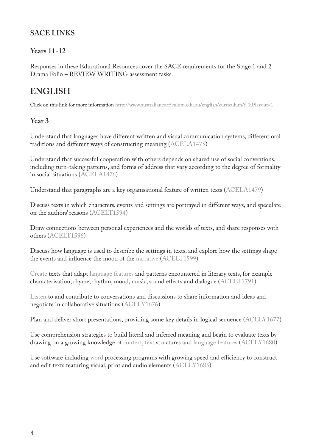# **SACE LINKS**

# **Years 11-12**

Responses in these Educational Resources cover the SACE requirements for the Stage 1 and 2 Drama Folio – REVIEW WRITING assessment tasks.

# **ENGLISH**

Click on this link for more information<http://www.australiancurriculum.edu.au/english/curriculum/f-10?layout=1>

#### **Year 3**

Understand that languages have different written and visual communication systems, different oral traditions and different ways of constructing meaning ([ACELA1475](http://www.australiancurriculum.edu.au/curriculum/contentdescription/ACELA1475))

Understand that successful cooperation with others depends on shared use of social conventions, including turn-taking patterns, and forms of address that vary according to the degree of formality in social situations [\(ACELA1476](http://www.australiancurriculum.edu.au/curriculum/contentdescription/ACELA1476))

Understand that paragraphs are a key organisational feature of written texts ([ACELA1479\)](http://www.australiancurriculum.edu.au/curriculum/contentdescription/ACELA1479)

Discuss texts in which characters, events and settings are portrayed in different ways, and speculate on the authors' reasons ([ACELT1594\)](http://www.australiancurriculum.edu.au/curriculum/contentdescription/ACELT1594)

Draw connections between personal experiences and the worlds of texts, and share responses with others [\(ACELT1596\)](http://www.australiancurriculum.edu.au/curriculum/contentdescription/ACELT1596)

Discuss how language is used to describe the settings in texts, and explore how the settings shape the events and influence the mood of the [narrative](http://www.australiancurriculum.edu.au/glossary/popup?a=E&t=narrative) [\(ACELT1599\)](http://www.australiancurriculum.edu.au/curriculum/contentdescription/ACELT1599)

[Create](http://www.australiancurriculum.edu.au/glossary/popup?a=E&t=create) texts that adapt [language features](http://www.australiancurriculum.edu.au/glossary/popup?a=E&t=language+features) and patterns encountered in literary texts, for example characterisation, rhyme, rhythm, mood, music, sound effects and dialogue ([ACELT1791](http://www.australiancurriculum.edu.au/curriculum/contentdescription/ACELT1791))

[Listen](http://www.australiancurriculum.edu.au/glossary/popup?a=E&t=listen) to and contribute to conversations and discussions to share information and ideas and negotiate in collaborative situations ([ACELY1676](http://www.australiancurriculum.edu.au/curriculum/contentdescription/ACELY1676))

Plan and deliver short presentations, providing some key details in logical sequence [\(ACELY1677\)](http://www.australiancurriculum.edu.au/curriculum/contentdescription/ACELY1677)

Use comprehension strategies to build literal and inferred meaning and begin to evaluate texts by drawing on a growing knowledge of [context,](http://www.australiancurriculum.edu.au/glossary/popup?a=E&t=context) [text](http://www.australiancurriculum.edu.au/glossary/popup?a=E&t=text) structures and [language features](http://www.australiancurriculum.edu.au/glossary/popup?a=E&t=language+features) [\(ACELY1680\)](http://www.australiancurriculum.edu.au/curriculum/contentdescription/ACELY1680)

Use software including [word](http://www.australiancurriculum.edu.au/glossary/popup?a=E&t=word) processing programs with growing speed and efficiency to construct and edit texts featuring visual, print and audio elements ([ACELY1685](http://www.australiancurriculum.edu.au/curriculum/contentdescription/ACELY1685))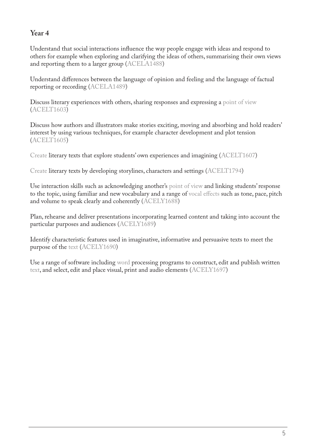Understand that social interactions influence the way people engage with ideas and respond to others for example when exploring and clarifying the ideas of others, summarising their own views and reporting them to a larger group ([ACELA1488\)](http://www.australiancurriculum.edu.au/curriculum/contentdescription/ACELA1488)

Understand differences between the language of opinion and feeling and the language of factual reporting or recording [\(ACELA1489](http://www.australiancurriculum.edu.au/curriculum/contentdescription/ACELA1489))

Discuss literary experiences with others, sharing responses and expressing a [point of view](http://www.australiancurriculum.edu.au/glossary/popup?a=E&t=point+of+view) ([ACELT1603\)](http://www.australiancurriculum.edu.au/curriculum/contentdescription/ACELT1603)

Discuss how authors and illustrators make stories exciting, moving and absorbing and hold readers' interest by using various techniques, for example character development and plot tension ([ACELT1605\)](http://www.australiancurriculum.edu.au/curriculum/contentdescription/ACELT1605)

[Create](http://www.australiancurriculum.edu.au/glossary/popup?a=E&t=create) literary texts that explore students' own experiences and imagining ([ACELT1607\)](http://www.australiancurriculum.edu.au/curriculum/contentdescription/ACELT1607)

[Create l](http://www.australiancurriculum.edu.au/glossary/popup?a=E&t=create)iterary texts by developing storylines, characters and settings ([ACELT1794](http://www.australiancurriculum.edu.au/curriculum/contentdescription/ACELT1794))

Use interaction skills such as acknowledging another's [point of view](http://www.australiancurriculum.edu.au/glossary/popup?a=E&t=point+of+view) and linking students' response to the topic, using familiar and new vocabulary and a range of [vocal effects](http://www.australiancurriculum.edu.au/glossary/popup?a=E&t=vocal+effects) such as tone, pace, pitch and volume to [speak](http://www.australiancurriculum.edu.au/glossary/popup?a=E&t=speak) clearly and coherently [\(ACELY1688\)](http://www.australiancurriculum.edu.au/curriculum/contentdescription/ACELY1688)

Plan, rehearse and deliver presentations incorporating learned content and taking into account the particular purposes and audiences [\(ACELY1689\)](http://www.australiancurriculum.edu.au/curriculum/contentdescription/ACELY1689)

Identify characteristic features used in imaginative, informative and persuasive texts to meet the purpose of the [text](http://www.australiancurriculum.edu.au/glossary/popup?a=E&t=text) [\(ACELY1690](http://www.australiancurriculum.edu.au/curriculum/contentdescription/ACELY1690))

Use a range of software including [word](http://www.australiancurriculum.edu.au/glossary/popup?a=E&t=word) processing programs to construct, edit and publish written [text,](http://www.australiancurriculum.edu.au/glossary/popup?a=E&t=text) and select, edit and place visual, print and audio elements [\(ACELY1697\)](http://www.australiancurriculum.edu.au/curriculum/contentdescription/ACELY1697)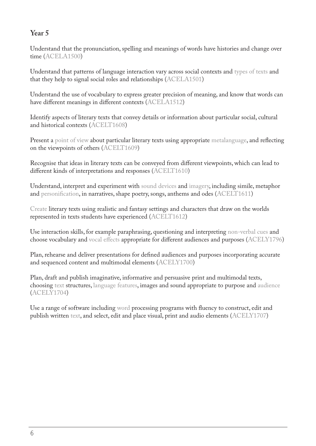Understand that the pronunciation, spelling and meanings of words have histories and change over time ([ACELA1500\)](http://www.australiancurriculum.edu.au/curriculum/contentdescription/ACELA1500)

Understand that patterns of language interaction vary across social contexts and [types of texts](http://www.australiancurriculum.edu.au/glossary/popup?a=E&t=types+of+texts) and that they help to signal social roles and relationships [\(ACELA1501](http://www.australiancurriculum.edu.au/curriculum/contentdescription/ACELA1501))

Understand the use of vocabulary to express greater precision of meaning, and know that words can have different meanings in different contexts ([ACELA1512\)](http://www.australiancurriculum.edu.au/curriculum/contentdescription/ACELA1512)

Identify aspects of literary texts that convey details or information about particular social, cultural and historical contexts [\(ACELT1608\)](http://www.australiancurriculum.edu.au/curriculum/contentdescription/ACELT1608)

Present a [point of view](http://www.australiancurriculum.edu.au/glossary/popup?a=E&t=point+of+view) about particular literary texts using appropriate [metalanguage,](http://www.australiancurriculum.edu.au/glossary/popup?a=E&t=metalanguage) and reflecting on the viewpoints of others ([ACELT1609](http://www.australiancurriculum.edu.au/curriculum/contentdescription/ACELT1609))

Recognise that ideas in literary texts can be conveyed from different viewpoints, which can lead to different kinds of interpretations and responses ([ACELT1610\)](http://www.australiancurriculum.edu.au/curriculum/contentdescription/ACELT1610)

Understand, interpret and experiment with [sound devices](http://www.australiancurriculum.edu.au/glossary/popup?a=E&t=sound+devices) and [imagery,](http://www.australiancurriculum.edu.au/glossary/popup?a=E&t=imagery) including simile, metaphor and [personification,](http://www.australiancurriculum.edu.au/glossary/popup?a=E&t=personification) in narratives, shape poetry, songs, anthems and odes ([ACELT1611](http://www.australiancurriculum.edu.au/curriculum/contentdescription/ACELT1611))

[Create](http://www.australiancurriculum.edu.au/glossary/popup?a=E&t=create) literary texts using realistic and fantasy settings and characters that draw on the worlds represented in texts students have experienced ([ACELT1612](http://www.australiancurriculum.edu.au/curriculum/contentdescription/ACELT1612))

Use interaction skills, for example paraphrasing, questioning and interpreting [non-verbal cues](http://www.australiancurriculum.edu.au/glossary/popup?a=E&t=non-verbal+cues) and choose vocabulary and [vocal effects](http://www.australiancurriculum.edu.au/glossary/popup?a=E&t=vocal+effects) appropriate for different audiences and purposes [\(ACELY1796\)](http://www.australiancurriculum.edu.au/curriculum/contentdescription/ACELY1796)

Plan, rehearse and deliver presentations for defined audiences and purposes incorporating accurate and sequenced content and multimodal elements ([ACELY1700](http://www.australiancurriculum.edu.au/curriculum/contentdescription/ACELY1700))

Plan, draft and publish imaginative, informative and persuasive print and multimodal texts, choosing [text](http://www.australiancurriculum.edu.au/glossary/popup?a=E&t=text) structures, [language features,](http://www.australiancurriculum.edu.au/glossary/popup?a=E&t=language+features) images and sound appropriate to purpose and [audience](http://www.australiancurriculum.edu.au/glossary/popup?a=E&t=audience) ([ACELY1704](http://www.australiancurriculum.edu.au/curriculum/contentdescription/ACELY1704))

Use a range of software including [word](http://www.australiancurriculum.edu.au/glossary/popup?a=E&t=word) processing programs with fluency to construct, edit and publish written [text](http://www.australiancurriculum.edu.au/glossary/popup?a=E&t=text), and select, edit and place visual, print and audio elements [\(ACELY1707\)](http://www.australiancurriculum.edu.au/curriculum/contentdescription/ACELY1707)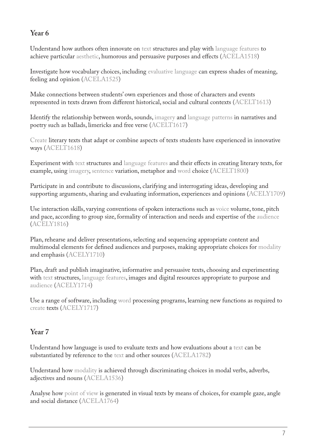Understand how authors often innovate on [text](http://www.australiancurriculum.edu.au/glossary/popup?a=E&t=text) structures and play with [language features](http://www.australiancurriculum.edu.au/glossary/popup?a=E&t=language+features) to achieve particular [aesthetic,](http://www.australiancurriculum.edu.au/glossary/popup?a=E&t=aesthetic) humorous and persuasive purposes and effects [\(ACELA1518](http://www.australiancurriculum.edu.au/curriculum/contentdescription/ACELA1518))

Investigate how vocabulary choices, including [evaluative language](http://www.australiancurriculum.edu.au/glossary/popup?a=E&t=evaluative+language) can express shades of meaning, feeling and opinion [\(ACELA1525](http://www.australiancurriculum.edu.au/curriculum/contentdescription/ACELA1525))

Make connections between students' own experiences and those of characters and events represented in texts drawn from different historical, social and cultural contexts ([ACELT1613\)](http://www.australiancurriculum.edu.au/curriculum/contentdescription/ACELT1613)

Identify the relationship between words, sounds, [imagery](http://www.australiancurriculum.edu.au/glossary/popup?a=E&t=imagery) and [language patterns](http://www.australiancurriculum.edu.au/glossary/popup?a=E&t=language+patterns) in narratives and poetry such as ballads, limericks and free verse [\(ACELT1617\)](http://www.australiancurriculum.edu.au/curriculum/contentdescription/ACELT1617)

[Create](http://www.australiancurriculum.edu.au/glossary/popup?a=E&t=create) literary texts that adapt or combine aspects of texts students have experienced in innovative ways ([ACELT1618\)](http://www.australiancurriculum.edu.au/curriculum/contentdescription/ACELT1618)

Experiment with [text](http://www.australiancurriculum.edu.au/glossary/popup?a=E&t=text) structures and [language features](http://www.australiancurriculum.edu.au/glossary/popup?a=E&t=language+features) and their effects in creating literary texts, for example, using [imagery,](http://www.australiancurriculum.edu.au/glossary/popup?a=E&t=imagery) [sentence](http://www.australiancurriculum.edu.au/glossary/popup?a=E&t=sentence) variation, metaphor and [word](http://www.australiancurriculum.edu.au/glossary/popup?a=E&t=word) choice ([ACELT1800](http://www.australiancurriculum.edu.au/curriculum/contentdescription/ACELT1800))

Participate in and contribute to discussions, clarifying and interrogating ideas, developing and supporting arguments, sharing and evaluating information, experiences and opinions [\(ACELY1709\)](http://www.australiancurriculum.edu.au/curriculum/contentdescription/ACELY1709)

Use interaction skills, varying conventions of spoken interactions such as [voice](http://www.australiancurriculum.edu.au/glossary/popup?a=E&t=voice) volume, tone, pitch and pace, according to group size, formality of interaction and needs and expertise of the [audience](http://www.australiancurriculum.edu.au/glossary/popup?a=E&t=audience) ([ACELY1816](http://www.australiancurriculum.edu.au/curriculum/contentdescription/ACELY1816))

Plan, rehearse and deliver presentations, selecting and sequencing appropriate content and multimodal elements for defined audiences and purposes, making appropriate choices for [modality](http://www.australiancurriculum.edu.au/glossary/popup?a=E&t=modality) and emphasis ([ACELY1710](http://www.australiancurriculum.edu.au/curriculum/contentdescription/ACELY1710))

Plan, draft and publish imaginative, informative and persuasive texts, choosing and experimenting with [text](http://www.australiancurriculum.edu.au/glossary/popup?a=E&t=text) structures, [language features](http://www.australiancurriculum.edu.au/glossary/popup?a=E&t=language+features), images and digital resources appropriate to purpose and [audience](http://www.australiancurriculum.edu.au/glossary/popup?a=E&t=audience) ([ACELY1714](http://www.australiancurriculum.edu.au/curriculum/contentdescription/ACELY1714))

Use a range of software, including [word](http://www.australiancurriculum.edu.au/glossary/popup?a=E&t=word) processing programs, learning new functions as required to [create](http://www.australiancurriculum.edu.au/glossary/popup?a=E&t=create) texts [\(ACELY1717\)](http://www.australiancurriculum.edu.au/curriculum/contentdescription/ACELY1717)

# **Year 7**

Understand how language is used to evaluate texts and how evaluations about a [text](http://www.australiancurriculum.edu.au/glossary/popup?a=E&t=text) can be substantiated by reference to the [text](http://www.australiancurriculum.edu.au/glossary/popup?a=E&t=text) and other sources [\(ACELA1782](http://www.australiancurriculum.edu.au/curriculum/contentdescription/ACELA1782))

Understand how [modality](http://www.australiancurriculum.edu.au/glossary/popup?a=E&t=modality) is achieved through discriminating choices in modal verbs, adverbs, adjectives and nouns [\(ACELA1536\)](http://www.australiancurriculum.edu.au/curriculum/contentdescription/ACELA1536)

Analyse how [point of view](http://www.australiancurriculum.edu.au/glossary/popup?a=E&t=point+of+view) is generated in visual texts by means of choices, for example gaze, angle and social distance [\(ACELA1764](http://www.australiancurriculum.edu.au/curriculum/contentdescription/ACELA1764))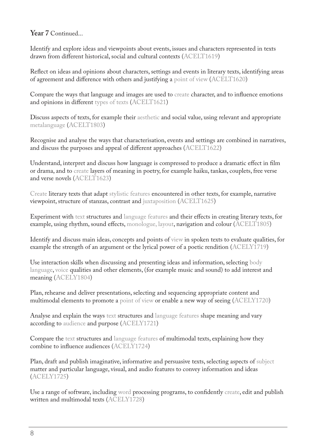#### **Year 7** Continued...

Identify and explore ideas and viewpoints about events, issues and characters represented in texts drawn from different historical, social and cultural contexts [\(ACELT1619](http://www.australiancurriculum.edu.au/curriculum/contentdescription/ACELT1619))

Reflect on ideas and opinions about characters, settings and events in literary texts, identifying areas of agreement and difference with others and justifying a [point of view](http://www.australiancurriculum.edu.au/glossary/popup?a=E&t=point+of+view) [\(ACELT1620\)](http://www.australiancurriculum.edu.au/curriculum/contentdescription/ACELT1620)

Compare the ways that language and images are used to [create](http://www.australiancurriculum.edu.au/glossary/popup?a=E&t=create) character, and to influence emotions and opinions in different [types of texts](http://www.australiancurriculum.edu.au/glossary/popup?a=E&t=types+of+texts) ([ACELT1621\)](http://www.australiancurriculum.edu.au/curriculum/contentdescription/ACELT1621)

Discuss aspects of texts, for example their [aesthetic](http://www.australiancurriculum.edu.au/glossary/popup?a=E&t=aesthetic) and social value, using relevant and appropriate [metalanguage](http://www.australiancurriculum.edu.au/glossary/popup?a=E&t=metalanguage) ([ACELT1803](http://www.australiancurriculum.edu.au/curriculum/contentdescription/ACELT1803))

Recognise and analyse the ways that characterisation, events and settings are combined in narratives, and discuss the purposes and appeal of different approaches [\(ACELT1622\)](http://www.australiancurriculum.edu.au/curriculum/contentdescription/ACELT1622)

Understand, interpret and discuss how language is compressed to produce a dramatic effect in film or drama, and to [create](http://www.australiancurriculum.edu.au/glossary/popup?a=E&t=create) layers of meaning in poetry, for example haiku, tankas, couplets, free verse and verse novels [\(ACELT1623](http://www.australiancurriculum.edu.au/curriculum/contentdescription/ACELT1623))

[Create](http://www.australiancurriculum.edu.au/glossary/popup?a=E&t=create) literary texts that adapt [stylistic features](http://www.australiancurriculum.edu.au/glossary/popup?a=E&t=stylistic+features) encountered in other texts, for example, narrative viewpoint, structure of stanzas, contrast and [juxtaposition](http://www.australiancurriculum.edu.au/glossary/popup?a=E&t=juxtaposition) ([ACELT1625\)](http://www.australiancurriculum.edu.au/curriculum/contentdescription/ACELT1625)

Experiment with [text](http://www.australiancurriculum.edu.au/glossary/popup?a=E&t=text) structures and [language features](http://www.australiancurriculum.edu.au/glossary/popup?a=E&t=language+features) and their effects in creating literary texts, for example, using rhythm, sound effects, [monologue, layout](http://www.australiancurriculum.edu.au/glossary/popup?a=E&t=layout), navigation and colour ([ACELT1805\)](http://www.australiancurriculum.edu.au/curriculum/contentdescription/ACELT1805)

Identify and discuss main ideas, concepts and points of [view](http://www.australiancurriculum.edu.au/glossary/popup?a=E&t=view) in spoken texts to evaluate qualities, for example the strength of an argument or the lyrical power of a poetic rendition ([ACELY1719](http://www.australiancurriculum.edu.au/curriculum/contentdescription/ACELY1719))

Use interaction skills when discussing and presenting ideas and information, selecting [body](http://www.australiancurriculum.edu.au/glossary/popup?a=E&t=body+language)  [language](http://www.australiancurriculum.edu.au/glossary/popup?a=E&t=body+language), [voice](http://www.australiancurriculum.edu.au/glossary/popup?a=E&t=voice) qualities and other elements, (for example music and sound) to add interest and meaning [\(ACELY1804\)](http://www.australiancurriculum.edu.au/curriculum/contentdescription/ACELY1804)

Plan, rehearse and deliver presentations, selecting and sequencing appropriate content and multimodal elements to promote a [point of view](http://www.australiancurriculum.edu.au/glossary/popup?a=E&t=point+of+view) or enable a new way of seeing [\(ACELY1720\)](http://www.australiancurriculum.edu.au/curriculum/contentdescription/ACELY1720)

Analyse and explain the ways [text](http://www.australiancurriculum.edu.au/glossary/popup?a=E&t=text) structures and [language features](http://www.australiancurriculum.edu.au/glossary/popup?a=E&t=language+features) shape meaning and vary according to [audience](http://www.australiancurriculum.edu.au/glossary/popup?a=E&t=audience) and purpose [\(ACELY1721\)](http://www.australiancurriculum.edu.au/curriculum/contentdescription/ACELY1721)

Compare the [text](http://www.australiancurriculum.edu.au/glossary/popup?a=E&t=text) structures and [language features](http://www.australiancurriculum.edu.au/glossary/popup?a=E&t=language+features) of multimodal texts, explaining how they combine to influence audiences [\(ACELY1724\)](http://www.australiancurriculum.edu.au/curriculum/contentdescription/ACELY1724)

Plan, draft and publish imaginative, informative and persuasive texts, selecting aspects of [subject](http://www.australiancurriculum.edu.au/glossary/popup?a=E&t=subject) matter and particular language, visual, and audio features to convey information and ideas ([ACELY1725](http://www.australiancurriculum.edu.au/curriculum/contentdescription/ACELY1725))

Use a range of software, including [word](http://www.australiancurriculum.edu.au/glossary/popup?a=E&t=word) processing programs, to confidently [create](http://www.australiancurriculum.edu.au/glossary/popup?a=E&t=create), edit and publish written and multimodal texts ([ACELY1728](http://www.australiancurriculum.edu.au/curriculum/contentdescription/ACELY1728))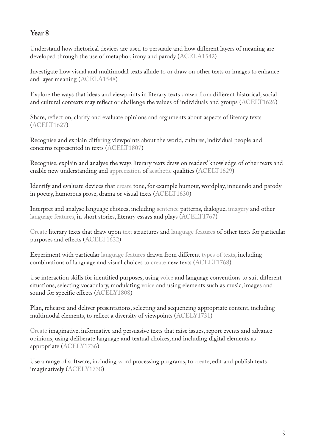Understand how rhetorical devices are used to persuade and how different layers of meaning are developed through the use of metaphor, irony and parody ([ACELA1542\)](http://www.australiancurriculum.edu.au/curriculum/contentdescription/ACELA1542)

Investigate how visual and multimodal texts allude to or draw on other texts or images to enhance and layer meaning ([ACELA1548\)](http://www.australiancurriculum.edu.au/curriculum/contentdescription/ACELA1548)

Explore the ways that ideas and viewpoints in literary texts drawn from different historical, social and cultural contexts may reflect or challenge the values of individuals and groups ([ACELT1626](http://www.australiancurriculum.edu.au/curriculum/contentdescription/ACELT1626))

Share, reflect on, clarify and evaluate opinions and arguments about aspects of literary texts ([ACELT1627\)](http://www.australiancurriculum.edu.au/curriculum/contentdescription/ACELT1627)

Recognise and explain differing viewpoints about the world, cultures, individual people and concerns represented in texts [\(ACELT1807](http://www.australiancurriculum.edu.au/curriculum/contentdescription/ACELT1807))

Recognise, explain and analyse the ways literary texts draw on readers' knowledge of other texts and enable new understanding and [appreciation](http://www.australiancurriculum.edu.au/glossary/popup?a=E&t=appreciation) of [aesthetic](http://www.australiancurriculum.edu.au/glossary/popup?a=E&t=aesthetic) qualities [\(ACELT1629\)](http://www.australiancurriculum.edu.au/curriculum/contentdescription/ACELT1629)

Identify and evaluate devices that [create](http://www.australiancurriculum.edu.au/glossary/popup?a=E&t=create) tone, for example humour, wordplay, innuendo and parody in poetry, humorous prose, drama or visual texts [\(ACELT1630\)](http://www.australiancurriculum.edu.au/curriculum/contentdescription/ACELT1630)

Interpret and analyse language choices, including [sentence](http://www.australiancurriculum.edu.au/glossary/popup?a=E&t=sentence) patterns, dialogue, [imagery](http://www.australiancurriculum.edu.au/glossary/popup?a=E&t=imagery) and other [language features](http://www.australiancurriculum.edu.au/glossary/popup?a=E&t=language+features), in short stories, literary essays and plays ([ACELT1767\)](http://www.australiancurriculum.edu.au/curriculum/contentdescription/ACELT1767)

[Create](http://www.australiancurriculum.edu.au/glossary/popup?a=E&t=create) literary texts that draw upon [text](http://www.australiancurriculum.edu.au/glossary/popup?a=E&t=text) structures and [language features](http://www.australiancurriculum.edu.au/glossary/popup?a=E&t=language+features) of other texts for particular purposes and effects [\(ACELT1632](http://www.australiancurriculum.edu.au/curriculum/contentdescription/ACELT1632))

Experiment with particular [language features](http://www.australiancurriculum.edu.au/glossary/popup?a=E&t=language+features) drawn from different [types of texts](http://www.australiancurriculum.edu.au/glossary/popup?a=E&t=types+of+texts), including combinations of language and visual choices to [create](http://www.australiancurriculum.edu.au/glossary/popup?a=E&t=create) new texts ([ACELT1768](http://www.australiancurriculum.edu.au/curriculum/contentdescription/ACELT1768))

Use interaction skills for identified purposes, using [voice](http://www.australiancurriculum.edu.au/glossary/popup?a=E&t=voice) and language conventions to suit different situations, selecting vocabulary, modulating [voice](http://www.australiancurriculum.edu.au/glossary/popup?a=E&t=voice) and using elements such as music, images and sound for specific effects [\(ACELY1808\)](http://www.australiancurriculum.edu.au/curriculum/contentdescription/ACELY1808)

Plan, rehearse and deliver presentations, selecting and sequencing appropriate content, including multimodal elements, to reflect a diversity of viewpoints [\(ACELY1731](http://www.australiancurriculum.edu.au/curriculum/contentdescription/ACELY1731))

[Create](http://www.australiancurriculum.edu.au/glossary/popup?a=E&t=create) imaginative, informative and persuasive texts that raise issues, report events and advance opinions, using deliberate language and textual choices, and including digital elements as appropriate ([ACELY1736](http://www.australiancurriculum.edu.au/curriculum/contentdescription/ACELY1736))

Use a range of software, including [word](http://www.australiancurriculum.edu.au/glossary/popup?a=E&t=word) processing programs, to [create,](http://www.australiancurriculum.edu.au/glossary/popup?a=E&t=create) edit and publish texts imaginatively ([ACELY1738](http://www.australiancurriculum.edu.au/curriculum/contentdescription/ACELY1738))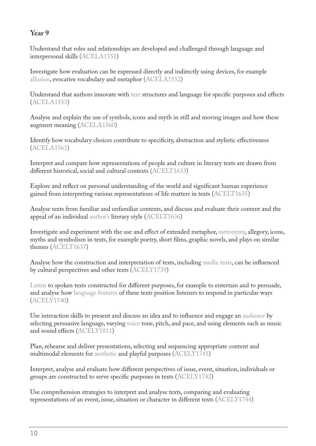Understand that roles and relationships are developed and challenged through language and interpersonal skills ([ACELA1551\)](http://www.australiancurriculum.edu.au/curriculum/contentdescription/ACELA1551)

Investigate how evaluation can be expressed directly and indirectly using devices, for example [allusion,](http://www.australiancurriculum.edu.au/glossary/popup?a=E&t=allusion) evocative vocabulary and metaphor ([ACELA1552\)](http://www.australiancurriculum.edu.au/curriculum/contentdescription/ACELA1552)

Understand that authors innovate with [text](http://www.australiancurriculum.edu.au/glossary/popup?a=E&t=text) structures and language for specific purposes and effects ([ACELA1553\)](http://www.australiancurriculum.edu.au/curriculum/contentdescription/ACELA1553)

Analyse and explain the use of symbols, icons and myth in still and moving images and how these augment meaning [\(ACELA1560\)](http://www.australiancurriculum.edu.au/curriculum/contentdescription/ACELA1560)

Identify how vocabulary choices contribute to specificity, abstraction and stylistic effectiveness ([ACELA1561\)](http://www.australiancurriculum.edu.au/curriculum/contentdescription/ACELA1561)

Interpret and compare how representations of people and culture in literary texts are drawn from different historical, social and cultural contexts ([ACELT1633\)](http://www.australiancurriculum.edu.au/curriculum/contentdescription/ACELT1633)

Explore and reflect on personal understanding of the world and significant human experience gained from interpreting various representations of life matters in texts ([ACELT1635](http://www.australiancurriculum.edu.au/curriculum/contentdescription/ACELT1635))

Analyse texts from familiar and unfamiliar contexts, and discuss and evaluate their content and the appeal of an individual [author's](http://www.australiancurriculum.edu.au/glossary/popup?a=E&t=author) literary style ([ACELT1636\)](http://www.australiancurriculum.edu.au/curriculum/contentdescription/ACELT1636)

Investigate and experiment with the use and effect of extended metaphor, [metonymy,](http://www.australiancurriculum.edu.au/glossary/popup?a=E&t=metonymy) allegory, icons, myths and symbolism in texts, for example poetry, short films, graphic novels, and plays on similar themes [\(ACELT1637](http://www.australiancurriculum.edu.au/curriculum/contentdescription/ACELT1637))

Analyse how the construction and interpretation of texts, including [media texts,](http://www.australiancurriculum.edu.au/glossary/popup?a=E&t=media+texts) can be influenced by cultural perspectives and other texts [\(ACELY1739\)](http://www.australiancurriculum.edu.au/curriculum/contentdescription/ACELY1739)

[Listen](http://www.australiancurriculum.edu.au/glossary/popup?a=E&t=listen) to spoken texts constructed for different purposes, for example to entertain and to persuade, and analyse how [language features](http://www.australiancurriculum.edu.au/glossary/popup?a=E&t=language+features) of these texts position listeners to respond in particular ways ([ACELY1740](http://www.australiancurriculum.edu.au/curriculum/contentdescription/ACELY1740))

Use interaction skills to present and discuss an idea and to influence and engage an [audience](http://www.australiancurriculum.edu.au/glossary/popup?a=E&t=audience) by selecting persuasive language, varying [voice](http://www.australiancurriculum.edu.au/glossary/popup?a=E&t=voice) tone, pitch, and pace, and using elements such as music and sound effects ([ACELY1811](http://www.australiancurriculum.edu.au/curriculum/contentdescription/ACELY1811))

Plan, rehearse and deliver presentations, selecting and sequencing appropriate content and multimodal elements for [aesthetic](http://www.australiancurriculum.edu.au/glossary/popup?a=E&t=aesthetic) and playful purposes ([ACELY1741](http://www.australiancurriculum.edu.au/curriculum/contentdescription/ACELY1741))

Interpret, analyse and evaluate how different perspectives of issue, event, situation, individuals or groups are constructed to serve specific purposes in texts ([ACELY1742](http://www.australiancurriculum.edu.au/curriculum/contentdescription/ACELY1742))

Use comprehension strategies to interpret and analyse texts, comparing and evaluating representations of an event, issue, situation or character in different texts [\(ACELY1744\)](http://www.australiancurriculum.edu.au/curriculum/contentdescription/ACELY1744)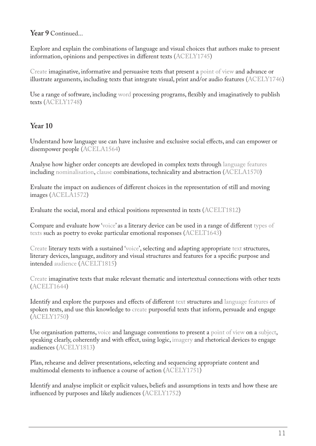#### **Year 9** Continued...

Explore and explain the combinations of language and visual choices that authors make to present information, opinions and perspectives in different texts [\(ACELY1745\)](http://www.australiancurriculum.edu.au/curriculum/contentdescription/ACELY1745)

[Create](http://www.australiancurriculum.edu.au/glossary/popup?a=E&t=create) imaginative, informative and persuasive texts that present a [point of view](http://www.australiancurriculum.edu.au/glossary/popup?a=E&t=point+of+view) and advance or illustrate arguments, including texts that integrate visual, print and/or audio features [\(ACELY1746\)](http://www.australiancurriculum.edu.au/curriculum/contentdescription/ACELY1746)

Use a range of software, including [word](http://www.australiancurriculum.edu.au/glossary/popup?a=E&t=word) processing programs, flexibly and imaginatively to publish texts ([ACELY1748](http://www.australiancurriculum.edu.au/curriculum/contentdescription/ACELY1748))

#### **Year 10**

Understand how language use can have inclusive and exclusive social effects, and can empower or disempower people [\(ACELA1564](http://www.australiancurriculum.edu.au/curriculum/contentdescription/ACELA1564))

Analyse how higher order concepts are developed in complex texts through [language features](http://www.australiancurriculum.edu.au/glossary/popup?a=E&t=language+features) including [nominalisation,](http://www.australiancurriculum.edu.au/glossary/popup?a=E&t=nominalisation) [clause](http://www.australiancurriculum.edu.au/glossary/popup?a=E&t=clause) combinations, technicality and abstraction ([ACELA1570\)](http://www.australiancurriculum.edu.au/curriculum/contentdescription/ACELA1570)

Evaluate the impact on audiences of different choices in the representation of still and moving images ([ACELA1572\)](http://www.australiancurriculum.edu.au/curriculum/contentdescription/ACELA1572)

Evaluate the social, moral and ethical positions represented in texts [\(ACELT1812](http://www.australiancurriculum.edu.au/curriculum/contentdescription/ACELT1812))

Compare and evaluate how '[voice'](http://www.australiancurriculum.edu.au/glossary/popup?a=E&t=voice) as a literary device can be used in a range of different [types of](http://www.australiancurriculum.edu.au/glossary/popup?a=E&t=types+of+texts)  [texts](http://www.australiancurriculum.edu.au/glossary/popup?a=E&t=types+of+texts) such as poetry to evoke particular emotional responses [\(ACELT1643](http://www.australiancurriculum.edu.au/curriculum/contentdescription/ACELT1643))

[Create](http://www.australiancurriculum.edu.au/glossary/popup?a=E&t=create) literary texts with a sustained '[voice'](http://www.australiancurriculum.edu.au/glossary/popup?a=E&t=voice), selecting and adapting appropriate [text](http://www.australiancurriculum.edu.au/glossary/popup?a=E&t=text) structures, literary devices, language, auditory and visual structures and features for a specific purpose and intended [audience](http://www.australiancurriculum.edu.au/glossary/popup?a=E&t=audience) [\(ACELT1815\)](http://www.australiancurriculum.edu.au/curriculum/contentdescription/ACELT1815)

[Create](http://www.australiancurriculum.edu.au/glossary/popup?a=E&t=create) imaginative texts that make relevant thematic and intertextual connections with other texts ([ACELT1644\)](http://www.australiancurriculum.edu.au/curriculum/contentdescription/ACELT1644)

Identify and explore the purposes and effects of different [text](http://www.australiancurriculum.edu.au/glossary/popup?a=E&t=text) structures and [language features](http://www.australiancurriculum.edu.au/glossary/popup?a=E&t=language+features) of spoken texts, and use this knowledge to [create](http://www.australiancurriculum.edu.au/glossary/popup?a=E&t=create) purposeful texts that inform, persuade and engage ([ACELY1750](http://www.australiancurriculum.edu.au/curriculum/contentdescription/ACELY1750))

Use organisation patterns, [voice](http://www.australiancurriculum.edu.au/glossary/popup?a=E&t=voice) and language conventions to present a [point of view](http://www.australiancurriculum.edu.au/glossary/popup?a=E&t=point+of+view) on a [subject,](http://www.australiancurriculum.edu.au/glossary/popup?a=E&t=subject) speaking clearly, coherently and with effect, using logic, [imagery](http://www.australiancurriculum.edu.au/glossary/popup?a=E&t=imagery) and rhetorical devices to engage audiences [\(ACELY1813\)](http://www.australiancurriculum.edu.au/curriculum/contentdescription/ACELY1813)

Plan, rehearse and deliver presentations, selecting and sequencing appropriate content and multimodal elements to influence a course of action ([ACELY1751\)](http://www.australiancurriculum.edu.au/curriculum/contentdescription/ACELY1751)

Identify and analyse implicit or explicit values, beliefs and assumptions in texts and how these are influenced by purposes and likely audiences [\(ACELY1752\)](http://www.australiancurriculum.edu.au/curriculum/contentdescription/ACELY1752)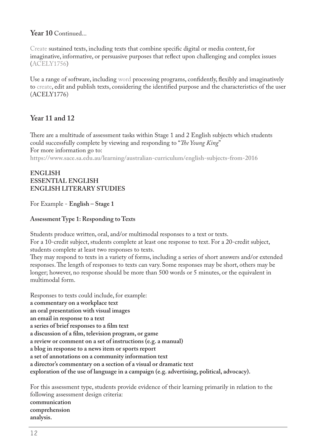#### **Year 10** Continued...

[Create](http://www.australiancurriculum.edu.au/glossary/popup?a=E&t=create) sustained texts, including texts that combine specific digital or media content, for imaginative, informative, or persuasive purposes that reflect upon challenging and complex issues ([ACELY1756](http://www.australiancurriculum.edu.au/curriculum/contentdescription/ACELY1756))

Use a range of software, including [word](http://www.australiancurriculum.edu.au/glossary/popup?a=E&t=word) processing programs, confidently, flexibly and imaginatively to [create,](http://www.australiancurriculum.edu.au/glossary/popup?a=E&t=create) edit and publish texts, considering the identified purpose and the characteristics of the user ([ACELY1776](http://www.australiancurriculum.edu.au/curriculum/contentdescription/ACELY1776))

#### **Year 11 and 12**

There are a multitude of assessment tasks within Stage 1 and 2 English subjects which students could successfully complete by viewing and responding to "*The Young King*" For more information go to: **<https://www.sace.sa.edu.au/learning/australian-curriculum/english-subjects-from-2016>**

#### **ENGLISH ESSENTIAL ENGLISH ENGLISH LITERARY STUDIES**

For Example - **English – Stage 1**

#### **Assessment Type 1: Responding to Texts**

Students produce written, oral, and/or multimodal responses to a text or texts. For a 10-credit subject, students complete at least one response to text. For a 20-credit subject, students complete at least two responses to texts.

They may respond to texts in a variety of forms, including a series of short answers and/or extended responses. The length of responses to texts can vary. Some responses may be short, others may be longer; however, no response should be more than 500 words or 5 minutes, or the equivalent in multimodal form.

Responses to texts could include, for example: **a commentary on a workplace text an oral presentation with visual images an email in response to a text a series of brief responses to a film text a discussion of a film, television program, or game a review or comment on a set of instructions (e.g. a manual) a blog in response to a news item or sports report a set of annotations on a community information text a director's commentary on a section of a visual or dramatic text exploration of the use of language in a campaign (e.g. advertising, political, advocacy).**

For this assessment type, students provide evidence of their learning primarily in relation to the following assessment design criteria: **communication comprehension analysis.**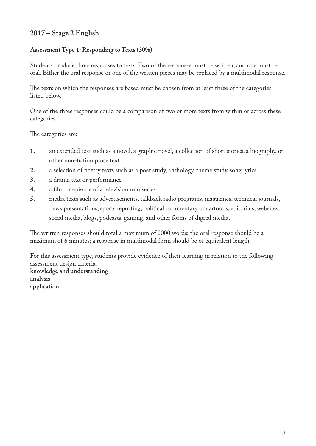#### **2017 – Stage 2 English**

#### **Assessment Type 1: Responding to Texts (30%)**

Students produce three responses to texts. Two of the responses must be written, and one must be oral. Either the oral response or one of the written pieces may be replaced by a multimodal response.

The texts on which the responses are based must be chosen from at least three of the categories listed below.

One of the three responses could be a comparison of two or more texts from within or across these categories.

The categories are:

- **1.** an extended text such as a novel, a graphic novel, a collection of short stories, a biography, or other non-fiction prose text
- **2.** a selection of poetry texts such as a poet study, anthology, theme study, song lyrics
- **3.** a drama text or performance
- **4.** a film or episode of a television miniseries
- **5.** media texts such as advertisements, talkback radio programs, magazines, technical journals, news presentations, sports reporting, political commentary or cartoons, editorials, websites, social media, blogs, podcasts, gaming, and other forms of digital media.

The written responses should total a maximum of 2000 words; the oral response should be a maximum of 6 minutes; a response in multimodal form should be of equivalent length.

For this assessment type, students provide evidence of their learning in relation to the following assessment design criteria: **knowledge and understanding analysis application.**